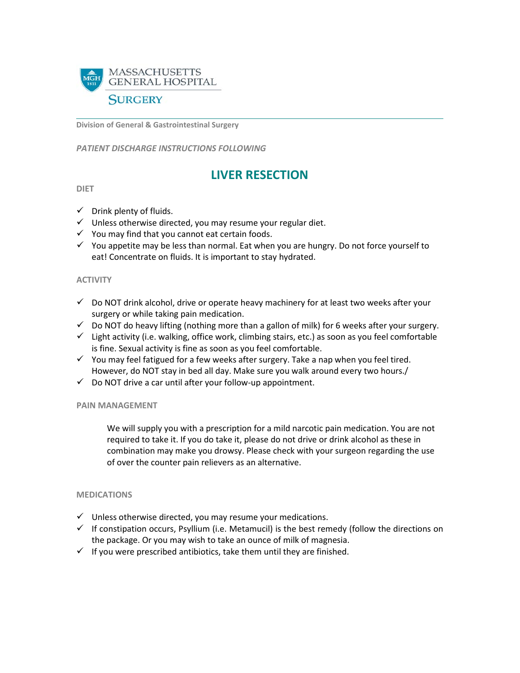

**Division of General & Gastrointestinal Surgery**

*PATIENT DISCHARGE INSTRUCTIONS FOLLOWING* 

# **LIVER RESECTION**

#### **DIET**

- $\checkmark$  Drink plenty of fluids.
- $\checkmark$  Unless otherwise directed, you may resume your regular diet.
- $\checkmark$  You may find that you cannot eat certain foods.
- $\checkmark$  You appetite may be less than normal. Eat when you are hungry. Do not force yourself to eat! Concentrate on fluids. It is important to stay hydrated.

# **ACTIVITY**

- $\checkmark$  Do NOT drink alcohol, drive or operate heavy machinery for at least two weeks after your surgery or while taking pain medication.
- $\checkmark$  Do NOT do heavy lifting (nothing more than a gallon of milk) for 6 weeks after your surgery.
- $\checkmark$  Light activity (i.e. walking, office work, climbing stairs, etc.) as soon as you feel comfortable is fine. Sexual activity is fine as soon as you feel comfortable.
- $\checkmark$  You may feel fatigued for a few weeks after surgery. Take a nap when you feel tired. However, do NOT stay in bed all day. Make sure you walk around every two hours./
- $\checkmark$  Do NOT drive a car until after your follow-up appointment.

# **PAIN MANAGEMENT**

We will supply you with a prescription for a mild narcotic pain medication. You are not required to take it. If you do take it, please do not drive or drink alcohol as these in combination may make you drowsy. Please check with your surgeon regarding the use of over the counter pain relievers as an alternative.

#### **MEDICATIONS**

- $\checkmark$  Unless otherwise directed, you may resume your medications.
- $\checkmark$  If constipation occurs, Psyllium (i.e. Metamucil) is the best remedy (follow the directions on the package. Or you may wish to take an ounce of milk of magnesia.
- $\checkmark$  If you were prescribed antibiotics, take them until they are finished.